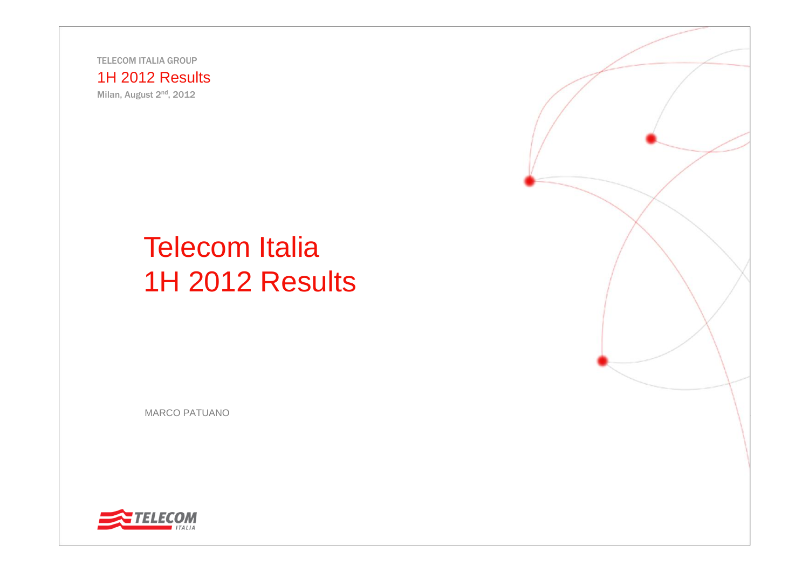TELECOM ITALIA GROUP

#### 1H 2012 Results

Milan, August 2nd, 2012

# Telecom Italia 1H 2012 Results

MARCO PATUANO



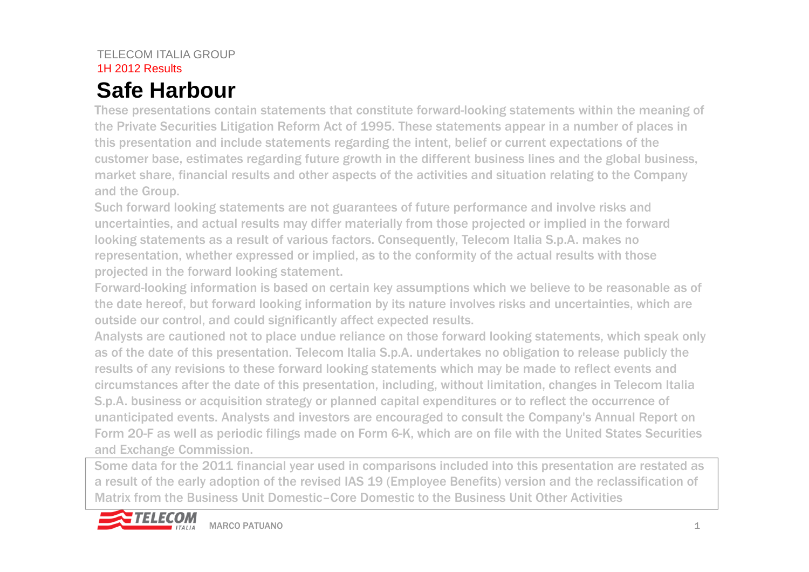## **Safe Harbour**

These presentations contain statements that constitute forward-looking statements within the meaning of the Private Securities Litigation Reform Act of 1995. These statements appear in a number of places in this presentation and include statements regarding the intent, belief or current expectations of the customer base, estimates regarding future growth in the different business lines and the global business, market share, financial results and other aspects of the activities and situation relating to the Company and the Group.

Such forward looking statements are not guarantees of future performance and involve risks and uncertainties, and actual results may differ materially from those projected or implied in the forward looking statements as a result of various factors. Consequently, Telecom Italia S.p.A. makes no representation, whether expressed or implied, as to the conformity of the actual results with those projected in the forward looking statement.

Forward-looking information is based on certain key assumptions which we believe to be reasonable as of the date hereof, but forward looking information by its nature involves risks and uncertainties, which are outside our control, and could significantly affect expected results.

Analysts are cautioned not to place undue reliance on those forward looking statements, which speak only as of the date of this presentation. Telecom Italia S.p.A. undertakes no obligation to release publicly the results of any revisions to these forward looking statements which may be made to reflect events and circumstances after the date of this presentation, including, without limitation, changes in Telecom Italia S.p.A. business or acquisition strategy or planned capital expenditures or to reflect the occurrence of unanticipated events. Analysts and investors are encouraged to consult the Company's Annual Report on Form 20-F as well as periodic filings made on Form 6-K, which are on file with the United States Securities and Exchange Commission.

Some data for the 2011 financial year used in comparisons included into this presentation are restated as a result of the early adoption of the revised IAS 19 (Employee Benefits) version and the reclassification of Matrix from the Business Unit Domestic–Core Domestic to the Business Unit Other Activities

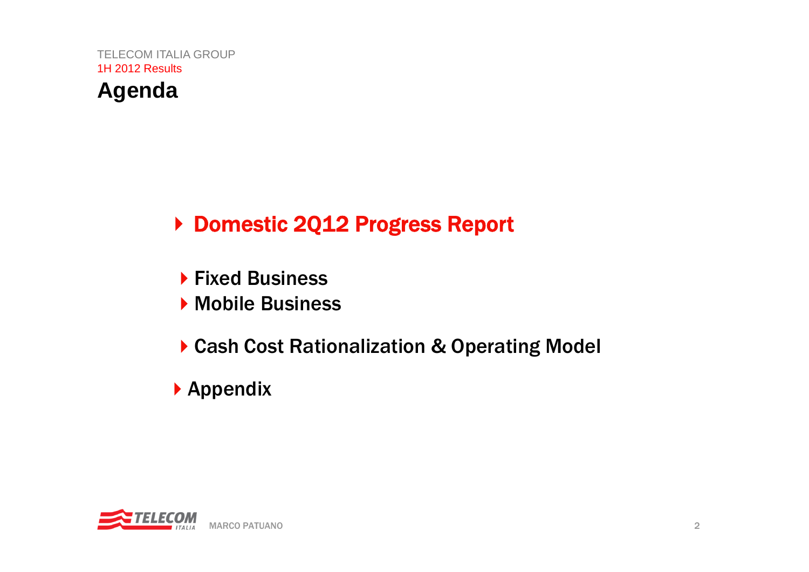

- ▶ Fixed Business
- Mobile Business
- ▶ Cash Cost Rationalization & Operating Model
- Appendix

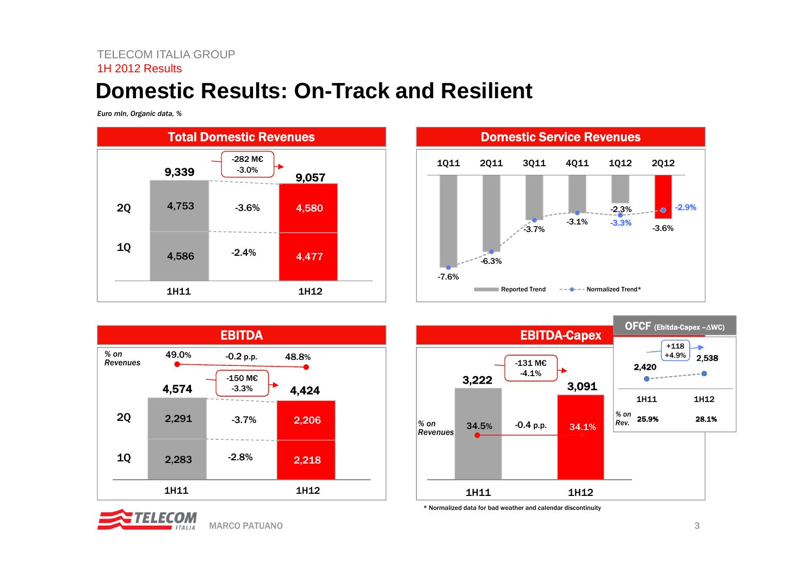### **Domestic Results: On-Track and Resilient**

*Euro mln, Organic data, %*









\* Normalized data for bad weather and calendar discontinuity

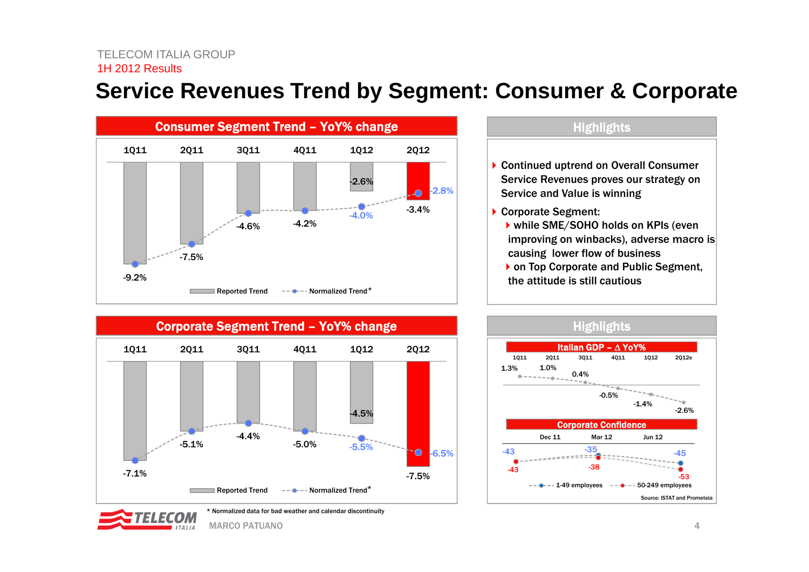### **Service Revenues Trend by Segment: Consumer & Corporate**



### **Highlights** ▶ Continued uptrend on Overall Consumer Service Revenues proves our strategy on Service and Value is winning ▶ Corporate Segment: ▶ while SME/SOHO holds on KPIs (even improving on winbacks), adverse macro is causing lower flow of business

▶ on Top Corporate and Public Segment, the attitude is still cautious







MARCO PATUANO $\sim$  0 and 1 and 1 and 1 and 1 and 1 and 1 and 1 and 1 and 1 and 1 and 1 and 1 and 1 and 1 and 1 and 1 and 1 and 1 and 1 and 1 and 1 and 1 and 1 and 1 and 1 and 1 and 1 and 1 and 1 and 1 and 1 and 1 and 1 and 1 and 1 and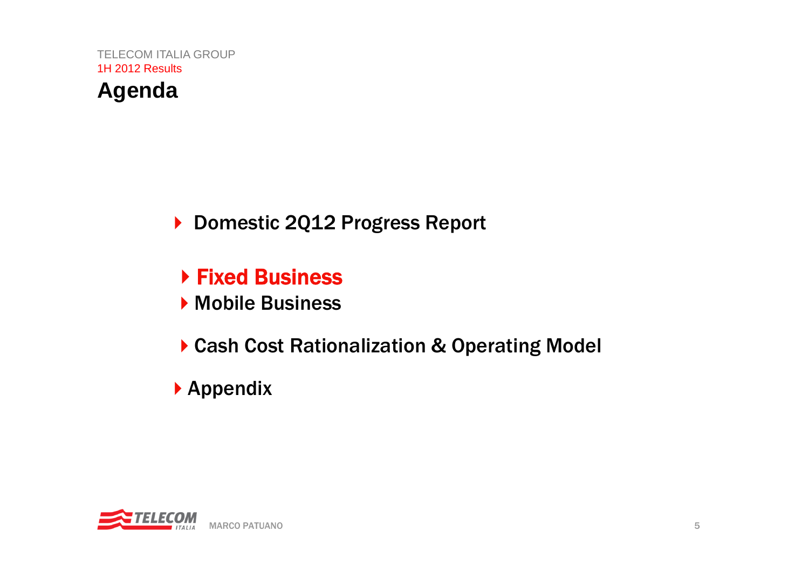

- Fixed Business
- Mobile Business
- Cash Cost Rationalization & Operating Model
- Appendix

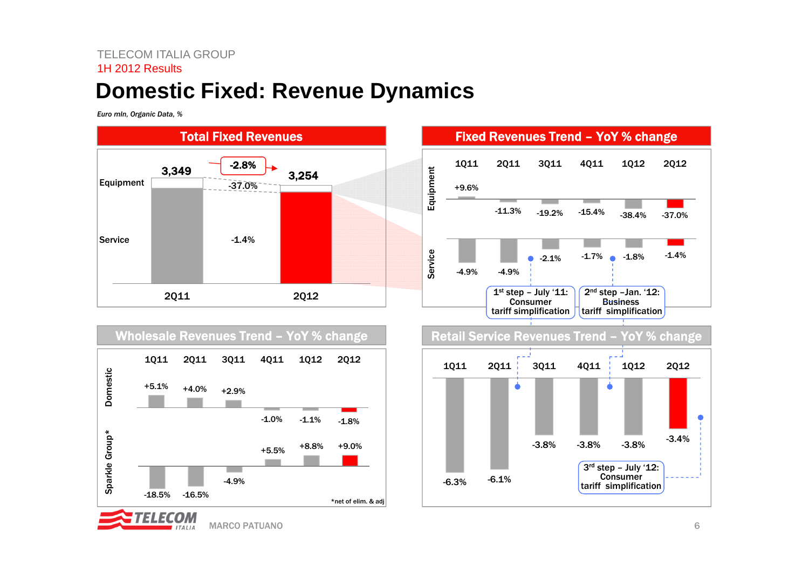### **Domestic Fixed: Revenue Dynamics**

*Euro mln, Organic Data, %*







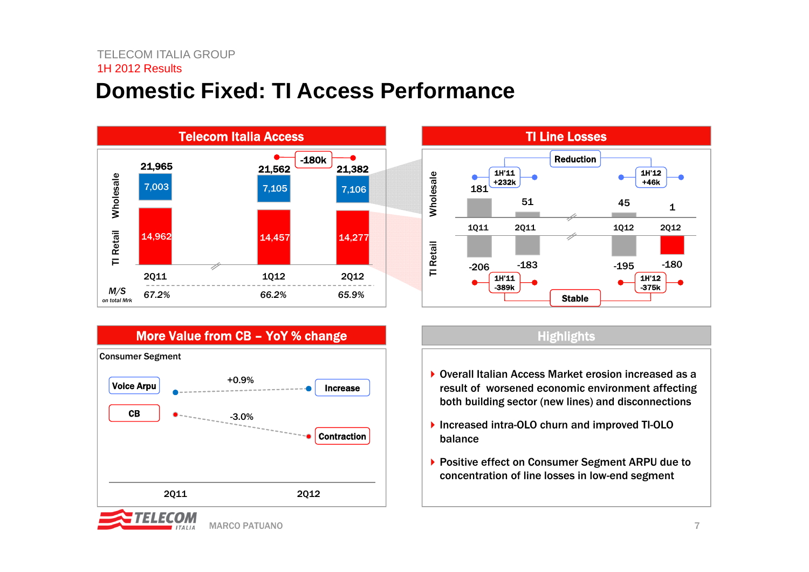### **Domestic Fixed: TI Access Performance**







- ▶ Overall Italian Access Market erosion increased as a result of worsened economic environment affecting both building sector (new lines) and disconnections
- ▶ Increased intra-OLO churn and improved TI-OLO balance
- ▶ Positive effect on Consumer Segment ARPU due to concentration of line losses in low-end segment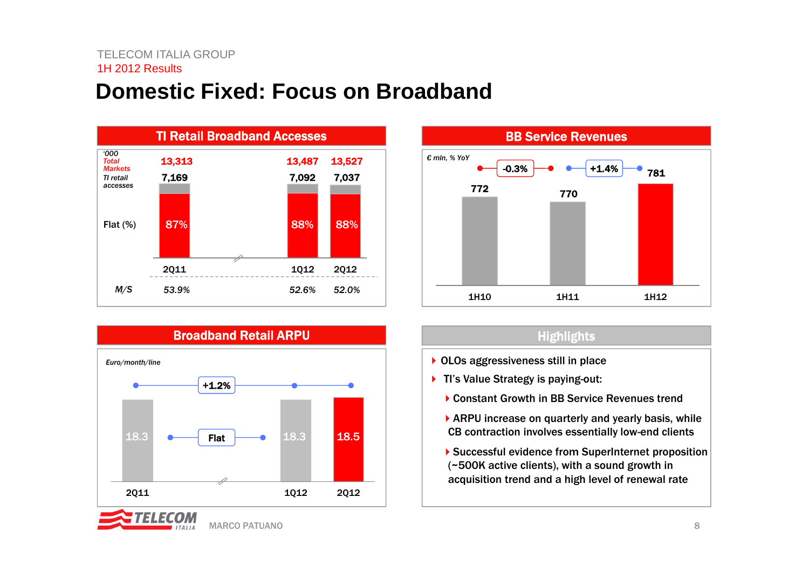### **Domestic Fixed: Focus on Broadband**







#### **Highlights**

- ▶ OLOs aggressiveness still in place
- ▶ TI's Value Strategy is paying-out:
	- ▶ Constant Growth in BB Service Revenues trend
	- ▶ ARPU increase on quarterly and yearly basis, while CB contraction involves essentially low-end clients
	- ▶ Successful evidence from SuperInternet proposition (~500K active clients), with a sound growth in acquisition trend and a high level of renewal rate

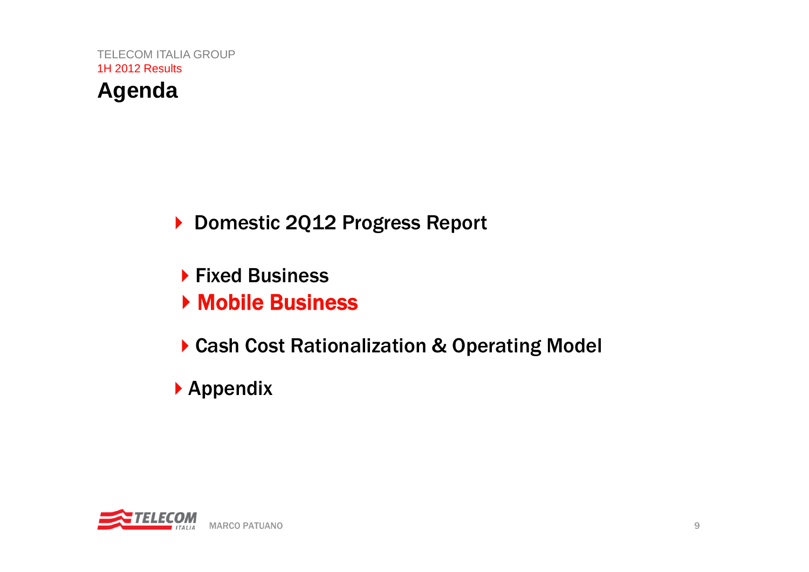

- **Fixed Business**
- Mobile Business
- ▶ Cash Cost Rationalization & Operating Model
- Appendix

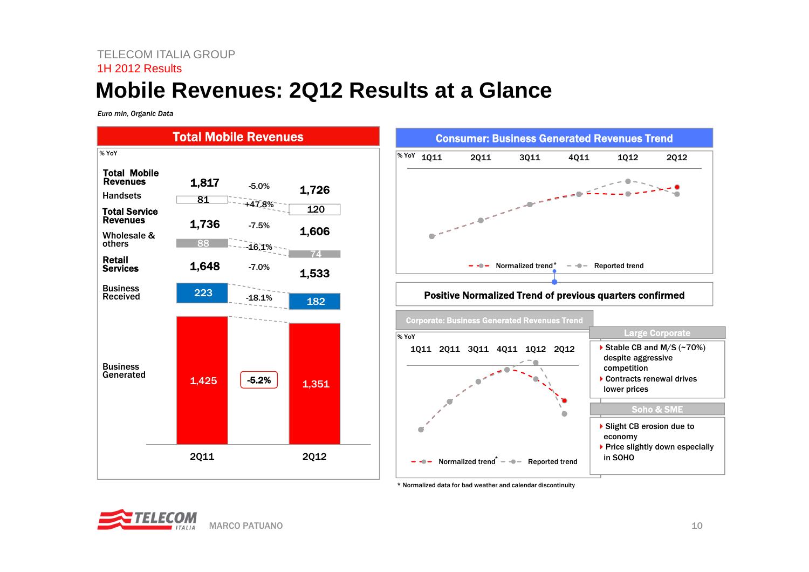### TELECOM ITALIA GROUP1H 2012 Results**Mobile Revenues: 2Q12 Results at a Glance**

*Euro mln, Organic Data*



\* Normalized data for bad weather and calendar discontinuity

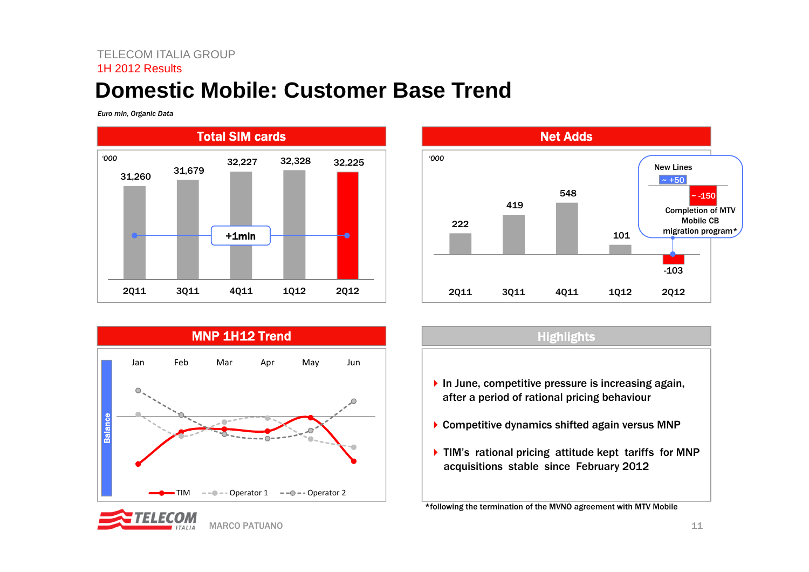### **Domestic Mobile: Customer Base Trend**

*Euro mln, Organic Data*







MARCO PATUANO

## **Highlights**  $\blacktriangleright$  In June, competitive pressure is increasing again, after a period of rational pricing behaviour ▶ Competitive dynamics shifted again versus MNP ▶ TIM's rational pricing attitude kept tariffs for MNP acquisitions stable since February 2012

\*following the termination of the MVNO agreement with MTV Mobile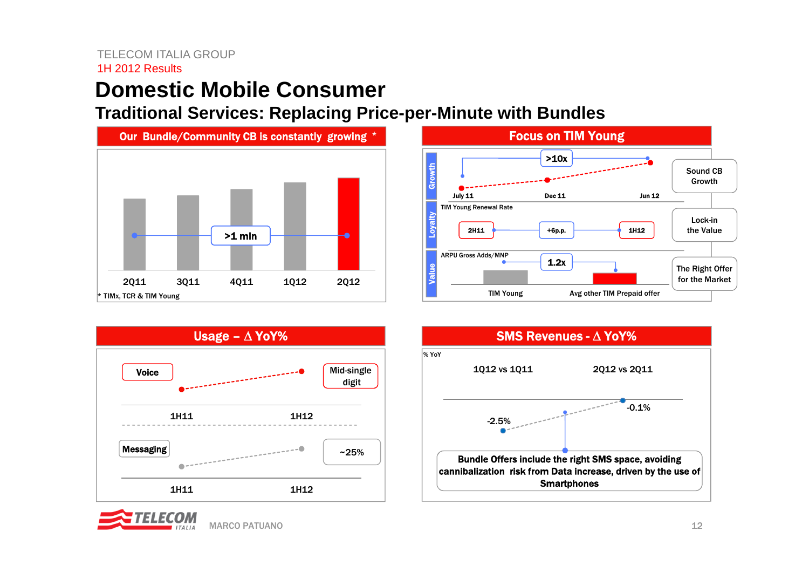### **Domestic Mobile Consumer**

**Traditional Services: Replacing Price-per-Minute with Bundles**









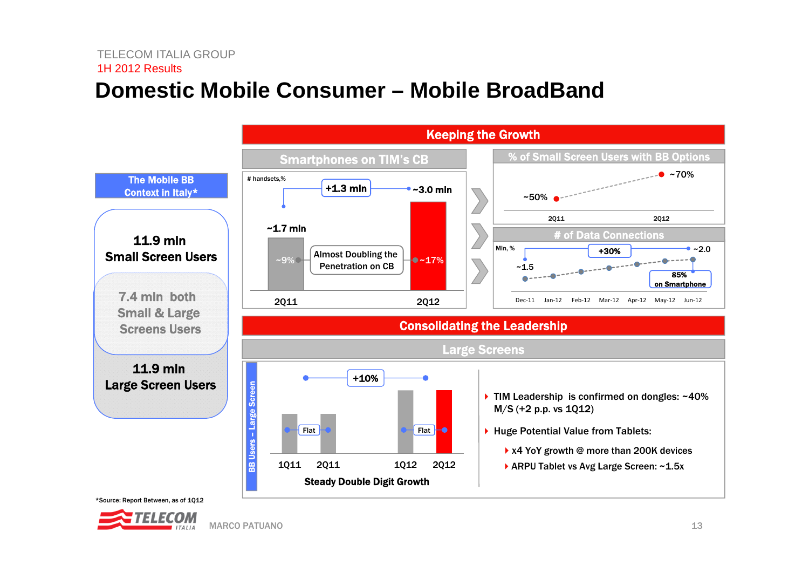### **Domestic Mobile Consumer – Mobile BroadBand**



\*Source: Report Between, as of 1Q12

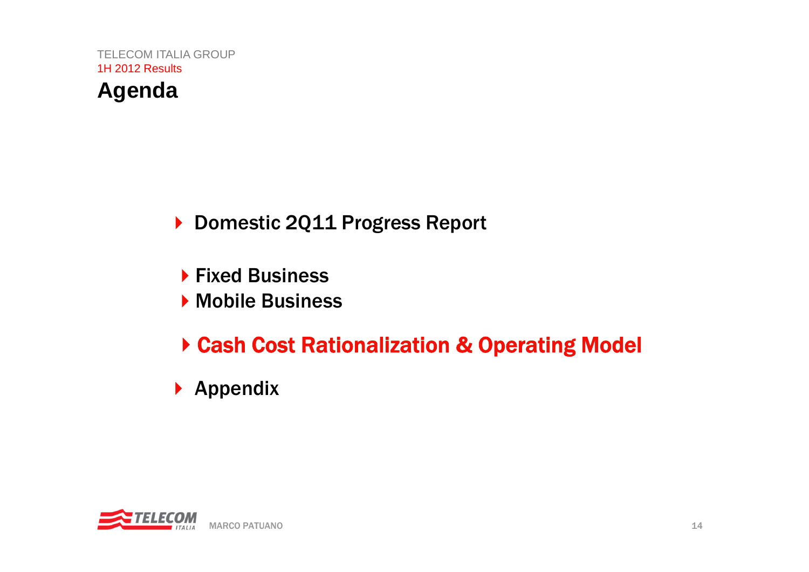

- ▶ Fixed Business
- ▶ Mobile Business
- Cash Cost Rationalization & Operating Model
- $\blacktriangleright$  Appendix

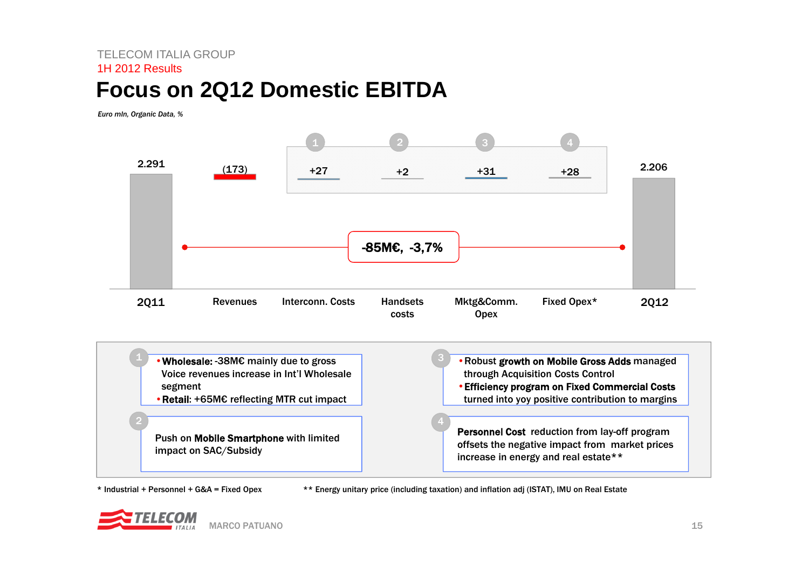### **Focus on 2Q12 Domestic EBITDA**

*Euro mln, Organic Data, %* 



\* Industrial + Personnel + G&A = Fixed Opex

\*\* Energy unitary price (including taxation) and inflation adj (ISTAT), IMU on Real Estate

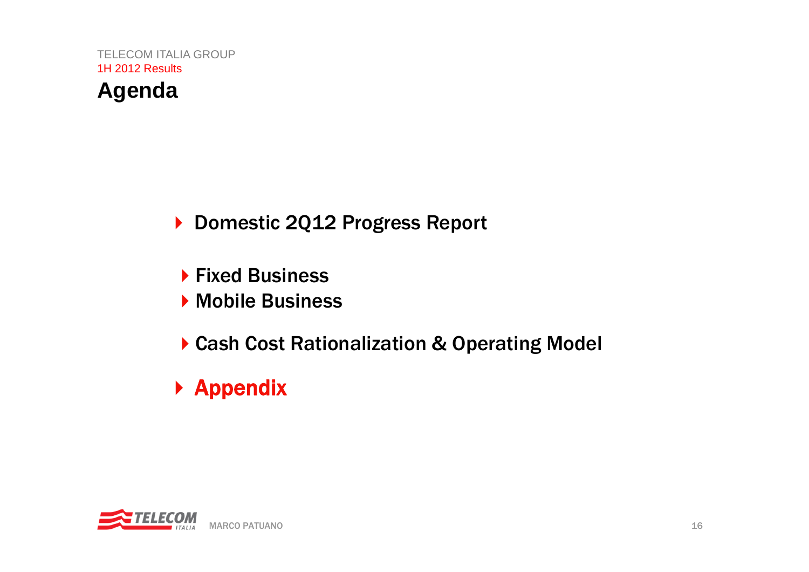

- **Fixed Business**
- **Mobile Business**
- ▶ Cash Cost Rationalization & Operating Model
- ▶ Appendix

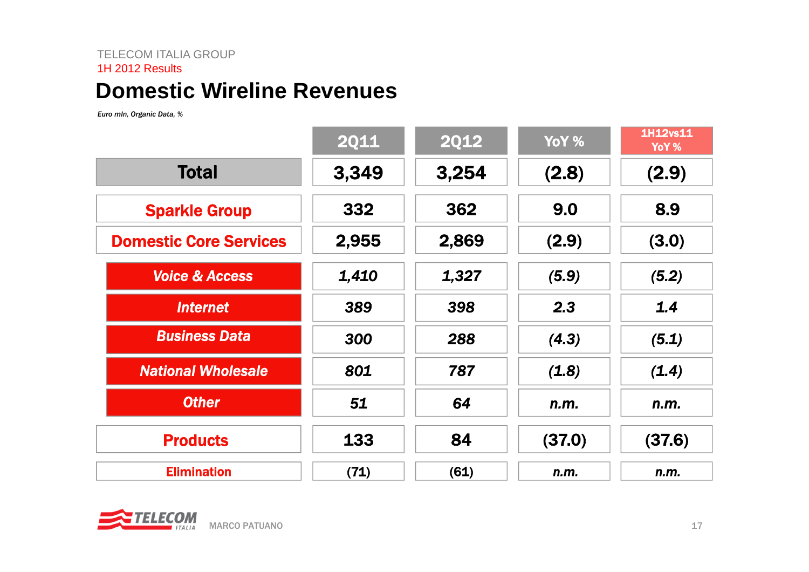### **Domestic Wireline Revenues**

*Euro mln, Organic Data, %*

|                               | <b>2Q11</b> | <b>2Q12</b> | YoY %  | <b>1H12vs11</b><br>YoY % |
|-------------------------------|-------------|-------------|--------|--------------------------|
| <b>Total</b>                  | 3,349       | 3,254       | (2.8)  | (2.9)                    |
| <b>Sparkle Group</b>          | 332         | 362         | 9.0    | 8.9                      |
| <b>Domestic Core Services</b> | 2,955       | 2,869       | (2.9)  | (3.0)                    |
| <b>Voice &amp; Access</b>     | 1,410       | 1,327       | (5.9)  | (5.2)                    |
| <b>Internet</b>               | 389         | 398         | 2.3    | 1.4                      |
| <b>Business Data</b>          | 300         | 288         | (4.3)  | (5.1)                    |
| <b>National Wholesale</b>     | 801         | 787         | (1.8)  | (1.4)                    |
| <b>Other</b>                  | 51          | 64          | n.m.   | n.m.                     |
| <b>Products</b>               | 133         | 84          | (37.0) | (37.6)                   |
| <b>Elimination</b>            | (71)        | (61)        | n.m.   | n.m.                     |

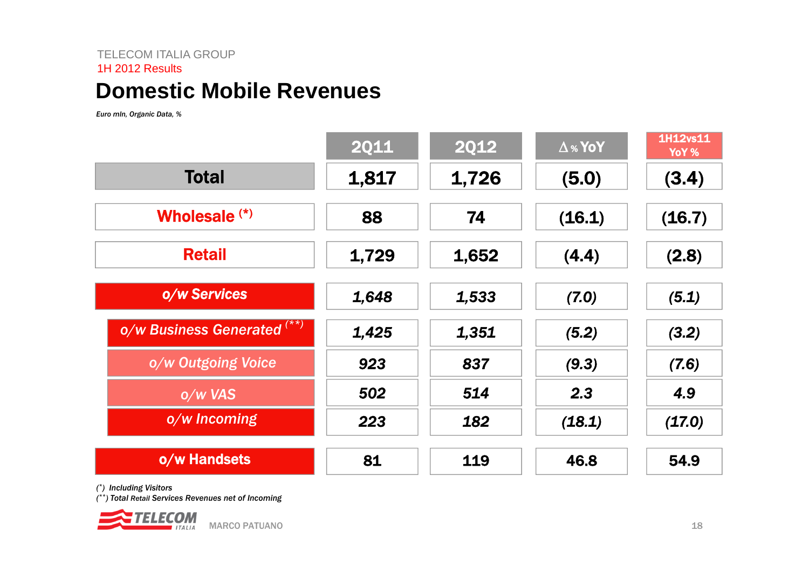### **Domestic Mobile Revenues**

*Euro mln, Organic Data, %*

|                             | <b>2Q11</b> | <b>2Q12</b> | $\Delta$ % YoY | 1H12vs11<br>YoY % |
|-----------------------------|-------------|-------------|----------------|-------------------|
| <b>Total</b>                | 1,817       | 1,726       | (5.0)          | (3.4)             |
| Wholesale <sup>(*)</sup>    | 88          | 74          | (16.1)         | (16.7)            |
| <b>Retail</b>               | 1,729       | 1,652       | (4.4)          | (2.8)             |
| o/w Services                | 1,648       | 1,533       | (7.0)          | (5.1)             |
| o/w Business Generated (**) | 1,425       | 1,351       | (5.2)          | (3.2)             |
| o/w Outgoing Voice          | 923         | 837         | (9.3)          | (7.6)             |
| o/w VAS                     | 502         | 514         | 2.3            | 4.9               |
| o/w Incoming                | 223         | 182         | (18.1)         | (17.0)            |
| o/w Handsets                | 81          | 119         | 46.8           | 54.9              |

*(\*) Including Visitors*

*(\*\*) Total Retail Services Revenues net of Incoming*